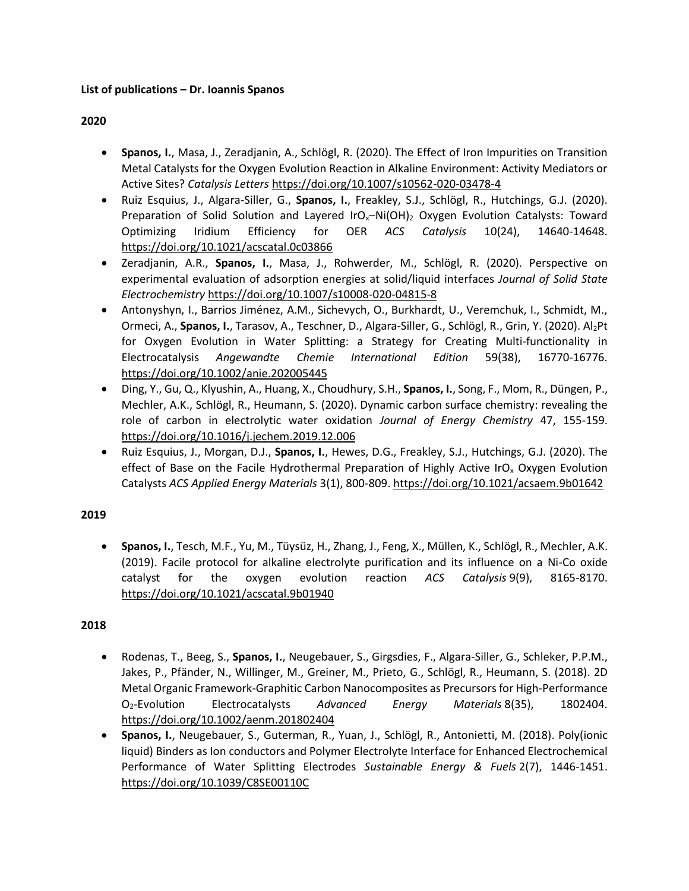### **List of publications – Dr. Ioannis Spanos**

### **2020**

- **Spanos, I.**, Masa, J., Zeradjanin, A., Schlögl, R. (2020). The Effect of Iron Impurities on Transition Metal Catalysts for the Oxygen Evolution Reaction in Alkaline Environment: Activity Mediators or Active Sites? *Catalysis Letters* <https://doi.org/10.1007/s10562-020-03478-4>
- Ruiz Esquius, J., Algara-Siller, G., **Spanos, I.**, Freakley, S.J., Schlögl, R., Hutchings, G.J. (2020). Preparation of Solid Solution and Layered IrO<sub>x</sub>-Ni(OH)<sub>2</sub> Oxygen Evolution Catalysts: Toward Optimizing Iridium Efficiency for OER *ACS Catalysis* 10(24), 14640-14648. <https://doi.org/10.1021/acscatal.0c03866>
- Zeradjanin, A.R., **Spanos, I.**, Masa, J., Rohwerder, M., Schlögl, R. (2020). Perspective on experimental evaluation of adsorption energies at solid/liquid interfaces *Journal of Solid State Electrochemistry* <https://doi.org/10.1007/s10008-020-04815-8>
- Antonyshyn, I., Barrios Jiménez, A.M., Sichevych, O., Burkhardt, U., Veremchuk, I., Schmidt, M., Ormeci, A., Spanos, I., Tarasov, A., Teschner, D., Algara-Siller, G., Schlögl, R., Grin, Y. (2020). Al<sub>2</sub>Pt for Oxygen Evolution in Water Splitting: a Strategy for Creating Multi-functionality in Electrocatalysis *Angewandte Chemie International Edition* 59(38), 16770-16776. <https://doi.org/10.1002/anie.202005445>
- Ding, Y., Gu, Q., Klyushin, A., Huang, X., Choudhury, S.H., **Spanos, I.**, Song, F., Mom, R., Düngen, P., Mechler, A.K., Schlögl, R., Heumann, S. (2020). Dynamic carbon surface chemistry: revealing the role of carbon in electrolytic water oxidation *Journal of Energy Chemistry* 47, 155-159. <https://doi.org/10.1016/j.jechem.2019.12.006>
- Ruiz Esquius, J., Morgan, D.J., **Spanos, I.**, Hewes, D.G., Freakley, S.J., Hutchings, G.J. (2020). The effect of Base on the Facile Hydrothermal Preparation of Highly Active IrO<sub>x</sub> Oxygen Evolution Catalysts *ACS Applied Energy Materials* 3(1), 800-809[. https://doi.org/10.1021/acsaem.9b01642](https://doi.org/10.1021/acsaem.9b01642)

# **2019**

• **Spanos, I.**, Tesch, M.F., Yu, M., Tüysüz, H., Zhang, J., Feng, X., Müllen, K., Schlögl, R., Mechler, A.K. (2019). Facile protocol for alkaline electrolyte purification and its influence on a Ni-Co oxide catalyst for the oxygen evolution reaction *ACS Catalysis* 9(9), 8165-8170. <https://doi.org/10.1021/acscatal.9b01940>

# **2018**

- Rodenas, T., Beeg, S., **Spanos, I.**, Neugebauer, S., Girgsdies, F., Algara-Siller, G., Schleker, P.P.M., Jakes, P., Pfänder, N., Willinger, M., Greiner, M., Prieto, G., Schlögl, R., Heumann, S. (2018). 2D Metal Organic Framework-Graphitic Carbon Nanocomposites as Precursors for High-Performance O2-Evolution Electrocatalysts *Advanced Energy Materials* 8(35), 1802404. <https://doi.org/10.1002/aenm.201802404>
- **Spanos, I.**, Neugebauer, S., Guterman, R., Yuan, J., Schlögl, R., Antonietti, M. (2018). Poly(ionic liquid) Binders as Ion conductors and Polymer Electrolyte Interface for Enhanced Electrochemical Performance of Water Splitting Electrodes *Sustainable Energy & Fuels* 2(7), 1446-1451. <https://doi.org/10.1039/C8SE00110C>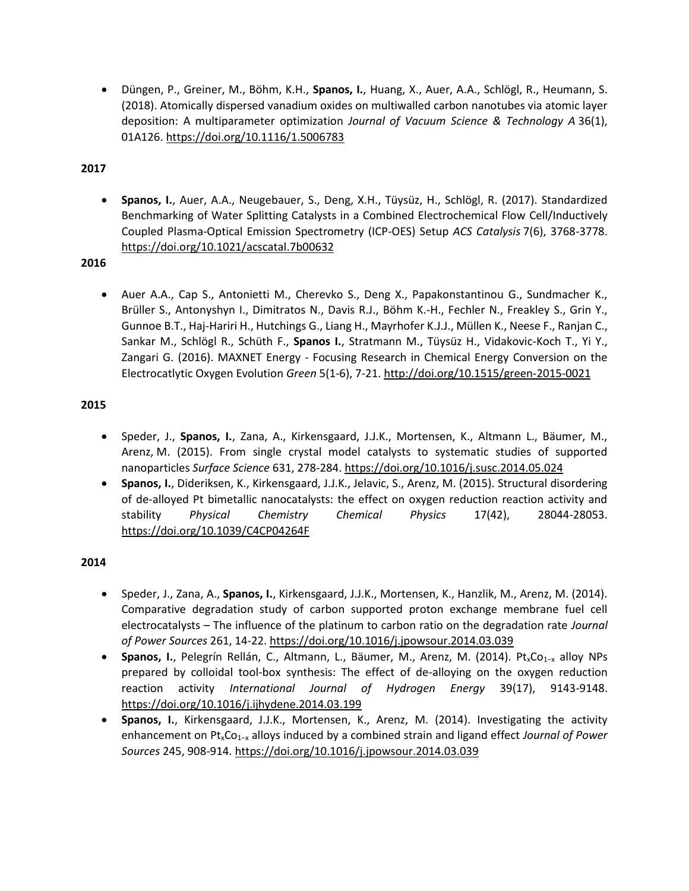• Düngen, P., Greiner, M., Böhm, K.H., **Spanos, I.**, Huang, X., Auer, A.A., Schlögl, R., Heumann, S. (2018). Atomically dispersed vanadium oxides on multiwalled carbon nanotubes via atomic layer deposition: A multiparameter optimization *Journal of Vacuum Science & Technology A* 36(1), 01A126[. https://doi.org/10.1116/1.5006783](https://doi.org/10.1116/1.5006783)

**2017**

• **Spanos, I.**, Auer, A.A., Neugebauer, S., Deng, X.H., Tüysüz, H., Schlögl, R. (2017). Standardized Benchmarking of Water Splitting Catalysts in a Combined Electrochemical Flow Cell/Inductively Coupled Plasma-Optical Emission Spectrometry (ICP-OES) Setup *ACS Catalysis* 7(6), 3768-3778. <https://doi.org/10.1021/acscatal.7b00632>

**2016**

• Auer A.A., Cap S., Antonietti M., Cherevko S., Deng X., Papakonstantinou G., Sundmacher K., Brüller S., Antonyshyn I., Dimitratos N., Davis R.J., Böhm K.-H., Fechler N., Freakley S., Grin Y., Gunnoe B.T., Haj-Hariri H., Hutchings G., Liang H., Mayrhofer K.J.J., Müllen K., Neese F., Ranjan C., Sankar M., Schlögl R., Schüth F., **Spanos I.**, Stratmann M., Tüysüz H., Vidakovic-Koch T., Yi Y., Zangari G. (2016). MAXNET Energy - Focusing Research in Chemical Energy Conversion on the Electrocatlytic Oxygen Evolution *Green* 5(1-6), 7-21.<http://doi.org/10.1515/green-2015-0021>

### **2015**

- Speder, J., **Spanos, I.**, Zana, A., Kirkensgaard, J.J.K., Mortensen, K., Altmann L., Bäumer, M., Arenz, M. (2015). From single crystal model catalysts to systematic studies of supported nanoparticles *Surface Science* 631, 278-284.<https://doi.org/10.1016/j.susc.2014.05.024>
- **Spanos, I.**, Dideriksen, K., Kirkensgaard, J.J.K., Jelavic, S., Arenz, M. (2015). Structural disordering of de-alloyed Pt bimetallic nanocatalysts: the effect on oxygen reduction reaction activity and stability *Physical Chemistry Chemical Physics* 17(42), 28044-28053. <https://doi.org/10.1039/C4CP04264F>

# **2014**

- Speder, J., Zana, A., **Spanos, I.**, Kirkensgaard, J.J.K., Mortensen, K., Hanzlik, M., Arenz, M. (2014). Comparative degradation study of carbon supported proton exchange membrane fuel cell electrocatalysts – The influence of the platinum to carbon ratio on the degradation rate *Journal of Power Sources* 261, 14-22[. https://doi.org/10.1016/j.jpowsour.2014.03.039](https://doi.org/10.1016/j.jpowsour.2014.03.039)
- Spanos, I., Pelegrín Rellán, C., Altmann, L., Bäumer, M., Arenz, M. (2014). Pt<sub>x</sub>Co<sub>1−x</sub> alloy NPs prepared by colloidal tool-box synthesis: The effect of de-alloying on the oxygen reduction reaction activity *International Journal of Hydrogen Energy* 39(17), 9143-9148. <https://doi.org/10.1016/j.ijhydene.2014.03.199>
- **Spanos, I.**, Kirkensgaard, J.J.K., Mortensen, K., Arenz, M. (2014). Investigating the activity enhancement on PtxCo1−x alloys induced by a combined strain and ligand effect *Journal of Power Sources* 245, 908-914[. https://doi.org/10.1016/j.jpowsour.2014.03.039](https://doi.org/10.1016/j.jpowsour.2014.03.039)